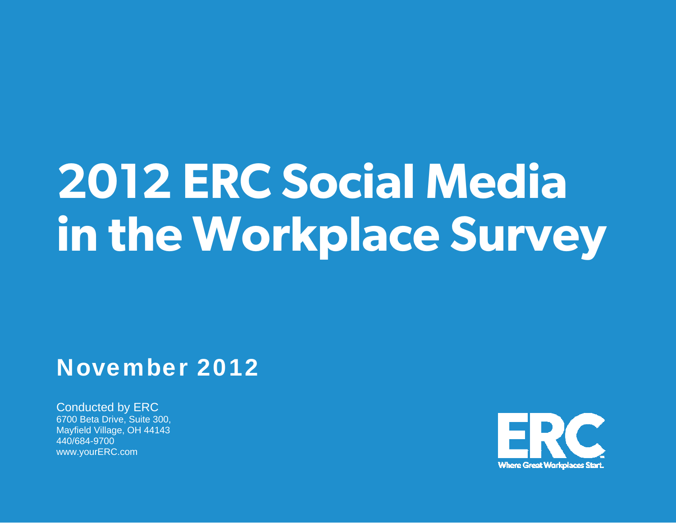# **2012 ERC Social Media in the Workplace Survey**

## November 2012

Conducted by ERC 6700 Beta Drive, Suite 300, Mayfield Village, OH 44143 440/684-9700 www.yourERC.com

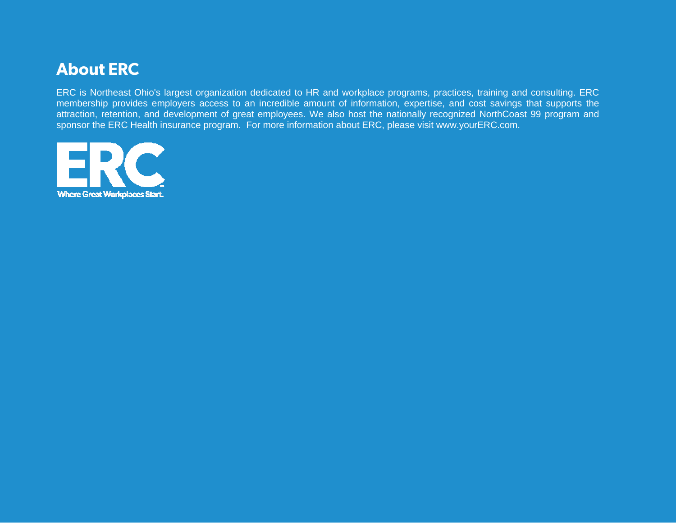## **About ERC**

ERC is Northeast Ohio's largest organization dedicated to HR and workplace programs, practices, training and consulting. ERC membership provides employers access to an incredible amount of information, expertise, and cost savings that supports the attraction, retention, and development of great employees. We also host the nationally recognized NorthCoast 99 program and sponsor the ERC Health insurance program. For more information about ERC, please visit [www.yourERC.com](http://www.yourerc.com/).

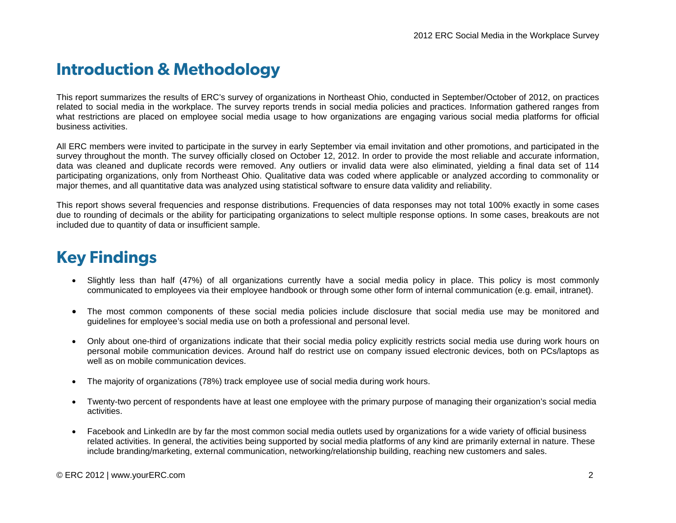## **Introduction & Methodology**

This report summarizes the results of ERC's survey of organizations in Northeast Ohio, conducted in September/October of 2012, on practices related to social media in the workplace. The survey reports trends in social media policies and practices. Information gathered ranges from what restrictions are placed on employee social media usage to how organizations are engaging various social media platforms for official business activities.

All ERC members were invited to participate in the survey in early September via email invitation and other promotions, and participated in the survey throughout the month. The survey officially closed on October 12, 2012. In order to provide the most reliable and accurate information, data was cleaned and duplicate records were removed. Any outliers or invalid data were also eliminated, yielding a final data set of 114 participating organizations, only from Northeast Ohio. Qualitative data was coded where applicable or analyzed according to commonality or major themes, and all quantitative data was analyzed using statistical software to ensure data validity and reliability.

This report shows several frequencies and response distributions. Frequencies of data responses may not total 100% exactly in some cases due to rounding of decimals or the ability for participating organizations to select multiple response options. In some cases, breakouts are not included due to quantity of data or insufficient sample.

## **Key Findings**

- Slightly less than half (47%) of all organizations currently have a social media policy in place. This policy is most commonly communicated to employees via their employee handbook or through some other form of internal communication (e.g. email, intranet).
- • The most common components of these social media policies include disclosure that social media use may be monitored and guidelines for employee's social media use on both a professional and personal level.
- Only about one-third of organizations indicate that their social media policy explicitly restricts social media use during work hours on personal mobile communication devices. Around half do restrict use on company issued electronic devices, both on PCs/laptops as well as on mobile communication devices.
- The majority of organizations (78%) track employee use of social media during work hours.
- Twenty-two percent of respondents have at least one employee with the primary purpose of managing their organization's social media activities.
- Facebook and LinkedIn are by far the most common social media outlets used by organizations for a wide variety of official business related activities. In general, the activities being supported by social media platforms of any kind are primarily external in nature. These include branding/marketing, external communication, networking/relationship building, reaching new customers and sales.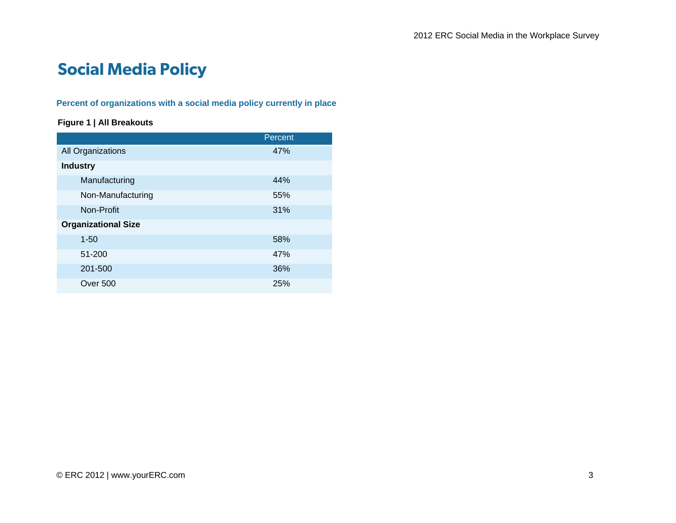## **Social Media Policy**

#### **Percent of organizations with a social media policy currently in place**

#### **Figure 1 | All Breakouts**

|                            | Percent |
|----------------------------|---------|
| All Organizations          | 47%     |
| <b>Industry</b>            |         |
| Manufacturing              | 44%     |
| Non-Manufacturing          | 55%     |
| Non-Profit                 | 31%     |
| <b>Organizational Size</b> |         |
| $1 - 50$                   | 58%     |
| 51-200                     | 47%     |
| 201-500                    | 36%     |
| Over 500                   | 25%     |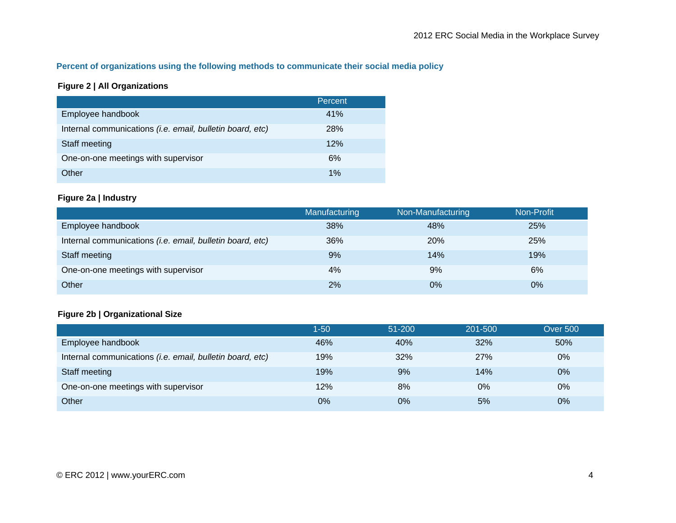#### **Percent of organizations using the following methods to communicate their social media policy**

#### **Figure 2 | All Organizations**

|                                                           | Percent |
|-----------------------------------------------------------|---------|
| Employee handbook                                         | 41%     |
| Internal communications (i.e. email, bulletin board, etc) | 28%     |
| Staff meeting                                             | 12%     |
| One-on-one meetings with supervisor                       | 6%      |
| Other                                                     | 1%      |

#### **Figure 2a | Industry**

|                                                           | <b>Manufacturing</b> | Non-Manufacturing | Non-Profit |
|-----------------------------------------------------------|----------------------|-------------------|------------|
| Employee handbook                                         | 38%                  | 48%               | 25%        |
| Internal communications (i.e. email, bulletin board, etc) | 36%                  | 20%               | 25%        |
| Staff meeting                                             | 9%                   | 14%               | 19%        |
| One-on-one meetings with supervisor                       | 4%                   | 9%                | 6%         |
| Other                                                     | 2%                   | $0\%$             | $0\%$      |

#### **Figure 2b | Organizational Size**

|                                                           | 1-50 | $51 - 200$ | 201-500 | <b>Over 500</b> |
|-----------------------------------------------------------|------|------------|---------|-----------------|
| Employee handbook                                         | 46%  | 40%        | 32%     | 50%             |
| Internal communications (i.e. email, bulletin board, etc) | 19%  | 32%        | 27%     | 0%              |
| Staff meeting                                             | 19%  | 9%         | 14%     | 0%              |
| One-on-one meetings with supervisor                       | 12%  | 8%         | $0\%$   | 0%              |
| Other                                                     | 0%   | $0\%$      | 5%      | 0%              |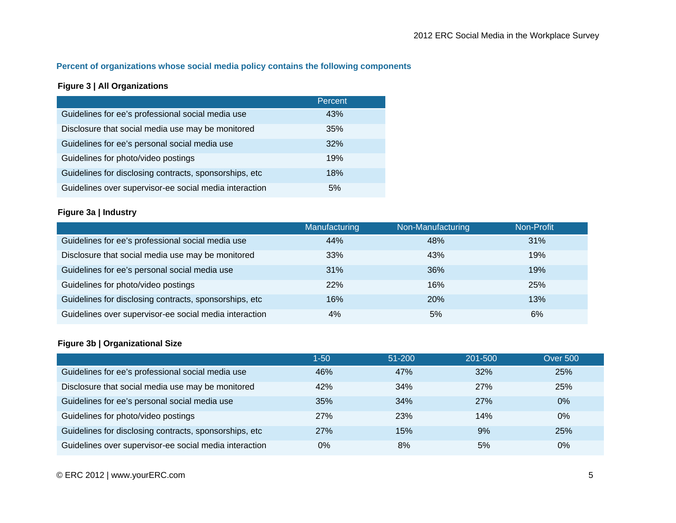#### **Percent of organizations whose social media policy contains the following components**

#### **Figure 3 | All Organizations**

|                                                        | Percent |
|--------------------------------------------------------|---------|
| Guidelines for ee's professional social media use      | 43%     |
| Disclosure that social media use may be monitored      | 35%     |
| Guidelines for ee's personal social media use          | 32%     |
| Guidelines for photo/video postings                    | 19%     |
| Guidelines for disclosing contracts, sponsorships, etc | 18%     |
| Guidelines over supervisor-ee social media interaction | 5%      |

#### **Figure 3a | Industry**

|                                                        | Manufacturing | Non-Manufacturing | Non-Profit |
|--------------------------------------------------------|---------------|-------------------|------------|
| Guidelines for ee's professional social media use      | 44%           | 48%               | 31%        |
| Disclosure that social media use may be monitored      | 33%           | 43%               | 19%        |
| Guidelines for ee's personal social media use          | 31%           | 36%               | 19%        |
| Guidelines for photo/video postings                    | 22%           | 16%               | 25%        |
| Guidelines for disclosing contracts, sponsorships, etc | 16%           | 20%               | 13%        |
| Guidelines over supervisor-ee social media interaction | 4%            | 5%                | 6%         |

#### **Figure 3b | Organizational Size**

|                                                        | $1 - 50$   | $51 - 200$ | 201-500 | <b>Over 500</b> |
|--------------------------------------------------------|------------|------------|---------|-----------------|
| Guidelines for ee's professional social media use      | 46%        | 47%        | 32%     | 25%             |
| Disclosure that social media use may be monitored      | 42%        | 34%        | 27%     | 25%             |
| Guidelines for ee's personal social media use          | 35%        | 34%        | 27%     | $0\%$           |
| Guidelines for photo/video postings                    | <b>27%</b> | 23%        | 14%     | $0\%$           |
| Guidelines for disclosing contracts, sponsorships, etc | 27%        | 15%        | 9%      | 25%             |
| Guidelines over supervisor-ee social media interaction | 0%         | 8%         | 5%      | $0\%$           |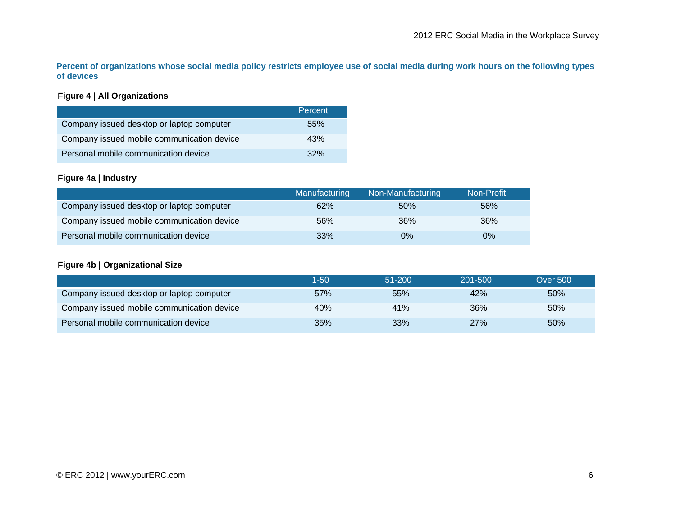**Percent of organizations whose social media policy restricts employee use of social media during work hours on the following types of devices** 

#### **Figure 4 | All Organizations**

|                                            | Percent |
|--------------------------------------------|---------|
| Company issued desktop or laptop computer  | .55%    |
| Company issued mobile communication device | 43%     |
| Personal mobile communication device       | $.32\%$ |

#### **Figure 4a | Industry**

|                                            | Manufacturing | Non-Manufacturing | Non-Profit |
|--------------------------------------------|---------------|-------------------|------------|
| Company issued desktop or laptop computer  | 62%           | 50%               | 56%        |
| Company issued mobile communication device | 56%           | 36%               | 36%        |
| Personal mobile communication device       | 33%           | 0%                | $0\%$      |

#### **Figure 4b | Organizational Size**

|                                            | 1-50 | $51 - 200$ | 201-500 | <b>Over 500</b> |
|--------------------------------------------|------|------------|---------|-----------------|
| Company issued desktop or laptop computer  | 57%  | 55%        | 42%     | 50%             |
| Company issued mobile communication device | 40%  | 41%        | 36%     | 50%             |
| Personal mobile communication device       | 35%  | 33%        | 27%     | 50%             |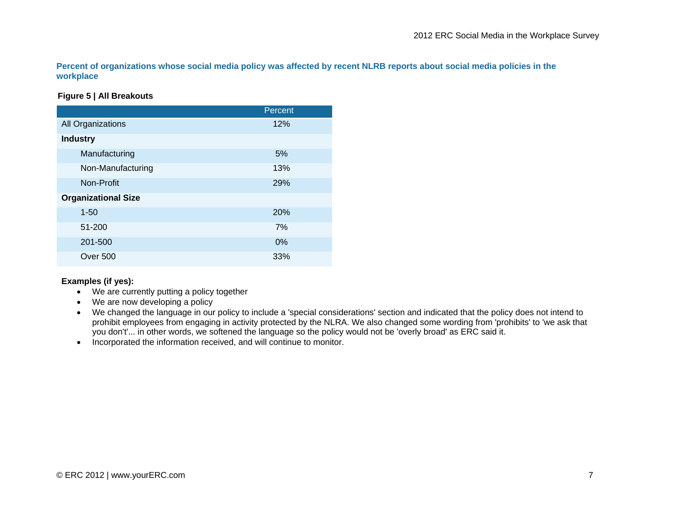**Percent of organizations whose social media policy was affected by recent NLRB reports about social media policies in the workplace** 

#### **Figure 5 | All Breakouts**

|                            | Percent |
|----------------------------|---------|
| All Organizations          | 12%     |
| <b>Industry</b>            |         |
| Manufacturing              | 5%      |
| Non-Manufacturing          | 13%     |
| Non-Profit                 | 29%     |
| <b>Organizational Size</b> |         |
| $1 - 50$                   | 20%     |
| 51-200                     | 7%      |
| 201-500                    | 0%      |
| Over 500                   | 33%     |

#### **Examples (if yes):**

- We are currently putting a policy together
- We are now developing a policy
- We changed the language in our policy to include a 'special considerations' section and indicated that the policy does not intend to prohibit employees from engaging in activity protected by the NLRA. We also changed some wording from 'prohibits' to 'we ask that you don't'... in other words, we softened the language so the policy would not be 'overly broad' as ERC said it.
- Incorporated the information received, and will continue to monitor.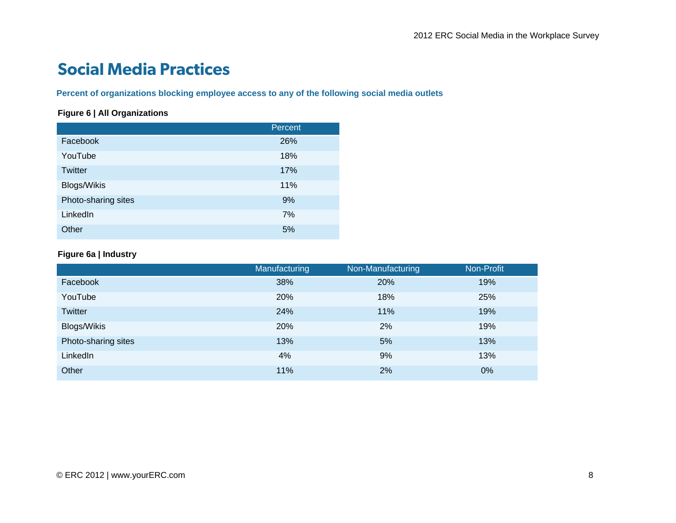## **Social Media Practices**

**Percent of organizations blocking employee access to any of the following social media outlets** 

#### **Figure 6 | All Organizations**

|                     | Percent |
|---------------------|---------|
| Facebook            | 26%     |
| YouTube             | 18%     |
| <b>Twitter</b>      | 17%     |
| <b>Blogs/Wikis</b>  | 11%     |
| Photo-sharing sites | 9%      |
| LinkedIn            | 7%      |
| Other               | 5%      |

#### **Figure 6a | Industry**

|                     | <b>Manufacturing</b> | Non-Manufacturing | Non-Profit |
|---------------------|----------------------|-------------------|------------|
| Facebook            | 38%                  | 20%               | 19%        |
| YouTube             | 20%                  | 18%               | 25%        |
| <b>Twitter</b>      | 24%                  | 11%               | 19%        |
| <b>Blogs/Wikis</b>  | 20%                  | 2%                | 19%        |
| Photo-sharing sites | 13%                  | 5%                | 13%        |
| LinkedIn            | 4%                   | 9%                | 13%        |
| Other               | 11%                  | 2%                | 0%         |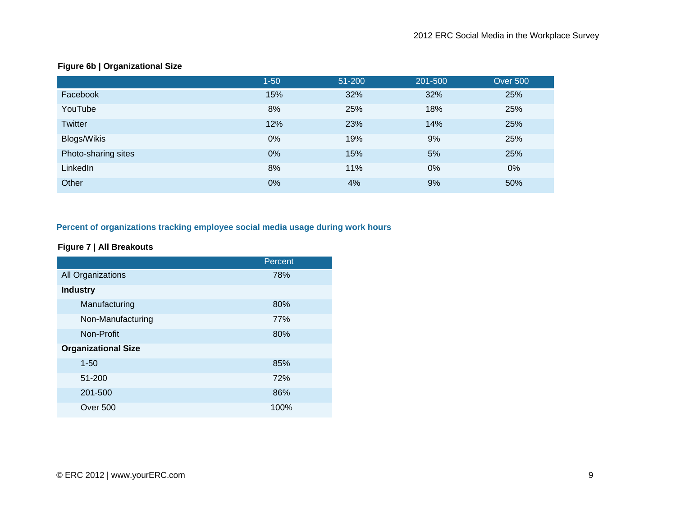|                     | $1 - 50$ | 51-200 | 201-500 | <b>Over 500</b> |
|---------------------|----------|--------|---------|-----------------|
| Facebook            | 15%      | 32%    | 32%     | 25%             |
| YouTube             | 8%       | 25%    | 18%     | 25%             |
| <b>Twitter</b>      | 12%      | 23%    | 14%     | 25%             |
| Blogs/Wikis         | 0%       | 19%    | 9%      | 25%             |
| Photo-sharing sites | 0%       | 15%    | 5%      | 25%             |
| LinkedIn            | 8%       | 11%    | 0%      | 0%              |
| Other               | 0%       | 4%     | 9%      | 50%             |

#### **Figure 6b | Organizational Size**

#### **Percent of organizations tracking employee social media usage during work hours**

#### **Figure 7 | All Breakouts**

|                            | Percent |
|----------------------------|---------|
| All Organizations          | 78%     |
| <b>Industry</b>            |         |
| Manufacturing              | 80%     |
| Non-Manufacturing          | 77%     |
| Non-Profit                 | 80%     |
| <b>Organizational Size</b> |         |
| $1 - 50$                   | 85%     |
| 51-200                     | 72%     |
| 201-500                    | 86%     |
| <b>Over 500</b>            | 100%    |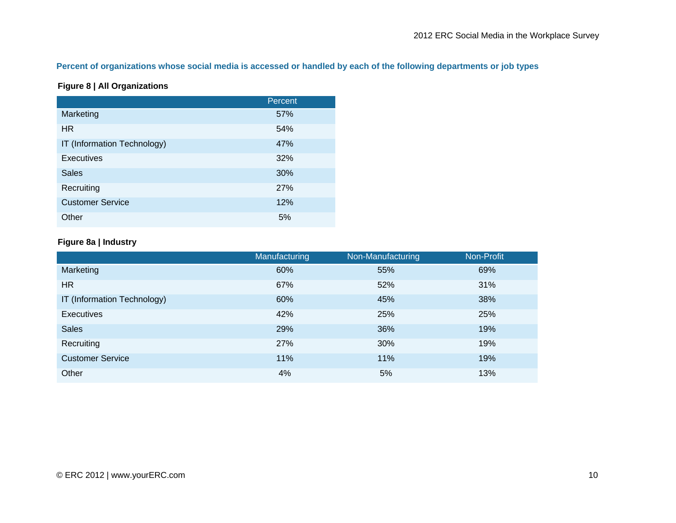#### **Percent of organizations whose social media is accessed or handled by each of the following departments or job types**

#### **Figure 8 | All Organizations**

|                             | Percent |
|-----------------------------|---------|
| Marketing                   | 57%     |
| <b>HR</b>                   | 54%     |
| IT (Information Technology) | 47%     |
| <b>Executives</b>           | 32%     |
| <b>Sales</b>                | 30%     |
| Recruiting                  | 27%     |
| <b>Customer Service</b>     | 12%     |
| Other                       | 5%      |

#### **Figure 8a | Industry**

|                             | Manufacturing | Non-Manufacturing | Non-Profit |
|-----------------------------|---------------|-------------------|------------|
| Marketing                   | 60%           | 55%               | 69%        |
| <b>HR</b>                   | 67%           | 52%               | 31%        |
| IT (Information Technology) | 60%           | 45%               | 38%        |
| Executives                  | 42%           | 25%               | 25%        |
| <b>Sales</b>                | 29%           | 36%               | 19%        |
| Recruiting                  | 27%           | 30%               | 19%        |
| <b>Customer Service</b>     | 11%           | 11%               | 19%        |
| Other                       | 4%            | 5%                | 13%        |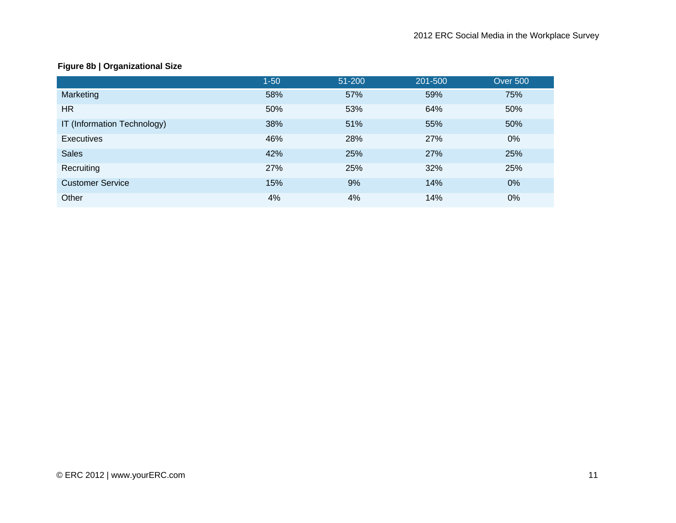#### **Figure 8b | Organizational Size**

|                             | $1 - 50$ | 51-200 | 201-500 | <b>Over 500</b> |
|-----------------------------|----------|--------|---------|-----------------|
| Marketing                   | 58%      | 57%    | 59%     | 75%             |
| <b>HR</b>                   | 50%      | 53%    | 64%     | 50%             |
| IT (Information Technology) | 38%      | 51%    | 55%     | 50%             |
| <b>Executives</b>           | 46%      | 28%    | 27%     | 0%              |
| <b>Sales</b>                | 42%      | 25%    | 27%     | 25%             |
| Recruiting                  | 27%      | 25%    | 32%     | 25%             |
| <b>Customer Service</b>     | 15%      | 9%     | 14%     | 0%              |
| Other                       | 4%       | 4%     | 14%     | 0%              |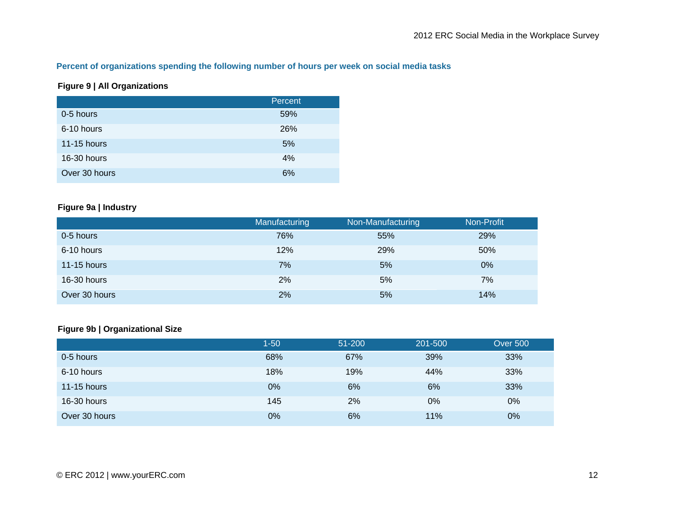#### **Percent of organizations spending the following number of hours per week on social media tasks**

#### **Figure 9 | All Organizations**

|                    | Percent |
|--------------------|---------|
| 0-5 hours          | 59%     |
| 6-10 hours         | 26%     |
| <b>11-15 hours</b> | 5%      |
| 16-30 hours        | 4%      |
| Over 30 hours      | 6%      |

#### **Figure 9a | Industry**

|                    | Manufacturing | Non-Manufacturing | Non-Profit |
|--------------------|---------------|-------------------|------------|
| 0-5 hours          | 76%           | 55%               | 29%        |
| 6-10 hours         | 12%           | 29%               | 50%        |
| <b>11-15 hours</b> | 7%            | 5%                | $0\%$      |
| 16-30 hours        | 2%            | 5%                | 7%         |
| Over 30 hours      | 2%            | 5%                | 14%        |

#### **Figure 9b | Organizational Size**

|                    | $1 - 50$ | 51-200 | 201-500 | <b>Over 500</b> |
|--------------------|----------|--------|---------|-----------------|
| 0-5 hours          | 68%      | 67%    | 39%     | 33%             |
| 6-10 hours         | 18%      | 19%    | 44%     | 33%             |
| <b>11-15 hours</b> | 0%       | 6%     | 6%      | 33%             |
| 16-30 hours        | 145      | 2%     | $0\%$   | 0%              |
| Over 30 hours      | 0%       | 6%     | 11%     | 0%              |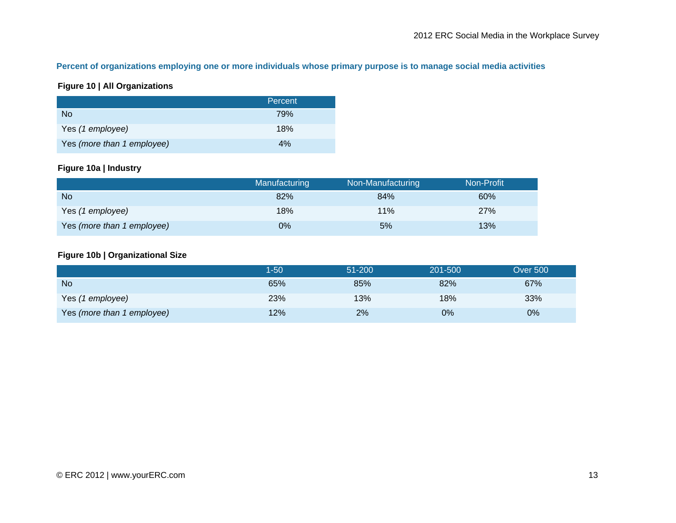#### **Percent of organizations employing one or more individuals whose primary purpose is to manage social media activities**

#### **Figure 10 | All Organizations**

|                            | Percent |
|----------------------------|---------|
| No.                        | 79%     |
| Yes (1 employee)           | 18%     |
| Yes (more than 1 employee) | 4%      |

#### **Figure 10a | Industry**

|                            | <b>Manufacturing</b> | Non-Manufacturing | Non-Profit |
|----------------------------|----------------------|-------------------|------------|
| <b>No</b>                  | 82%                  | 84%               | 60%        |
| Yes (1 employee)           | 18%                  | 11%               | 27%        |
| Yes (more than 1 employee) | 0%                   | 5%                | 13%        |

#### **Figure 10b | Organizational Size**

|                            | 1-50 | 51-200 | 201-500 | <b>Over 500</b> |
|----------------------------|------|--------|---------|-----------------|
| <b>No</b>                  | 65%  | 85%    | 82%     | 67%             |
| Yes (1 employee)           | 23%  | 13%    | 18%     | 33%             |
| Yes (more than 1 employee) | 12%  | 2%     | 0%      | $0\%$           |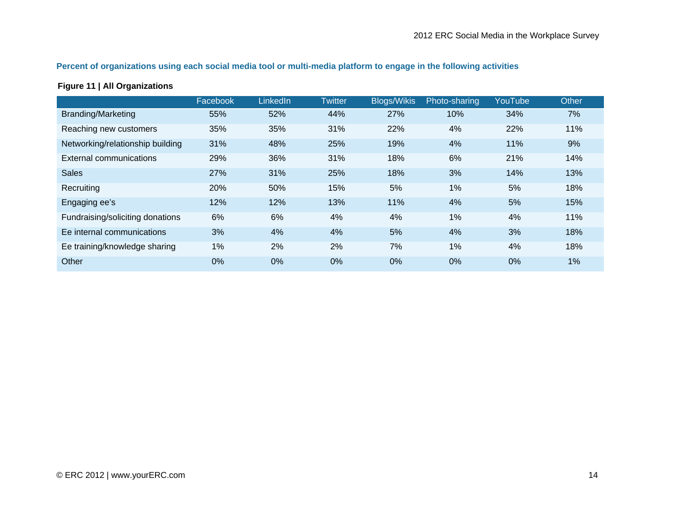#### **Percent of organizations using each social media tool or multi-media platform to engage in the following activities**

#### **Figure 11 | All Organizations**

|                                  | Facebook | LinkedIn | <b>Twitter</b> | <b>Blogs/Wikis</b> | Photo-sharing | YouTube | Other |
|----------------------------------|----------|----------|----------------|--------------------|---------------|---------|-------|
| <b>Branding/Marketing</b>        | 55%      | 52%      | 44%            | 27%                | 10%           | 34%     | 7%    |
| Reaching new customers           | 35%      | 35%      | 31%            | 22%                | 4%            | 22%     | 11%   |
| Networking/relationship building | 31%      | 48%      | 25%            | 19%                | 4%            | 11%     | 9%    |
| External communications          | 29%      | 36%      | 31%            | 18%                | 6%            | 21%     | 14%   |
| <b>Sales</b>                     | 27%      | 31%      | 25%            | 18%                | 3%            | 14%     | 13%   |
| Recruiting                       | 20%      | 50%      | 15%            | 5%                 | $1\%$         | 5%      | 18%   |
| Engaging ee's                    | 12%      | 12%      | 13%            | 11%                | 4%            | 5%      | 15%   |
| Fundraising/soliciting donations | 6%       | 6%       | 4%             | 4%                 | $1\%$         | 4%      | 11%   |
| Ee internal communications       | 3%       | 4%       | 4%             | 5%                 | 4%            | 3%      | 18%   |
| Ee training/knowledge sharing    | 1%       | 2%       | 2%             | 7%                 | 1%            | 4%      | 18%   |
| Other                            | 0%       | 0%       | 0%             | $0\%$              | 0%            | 0%      | 1%    |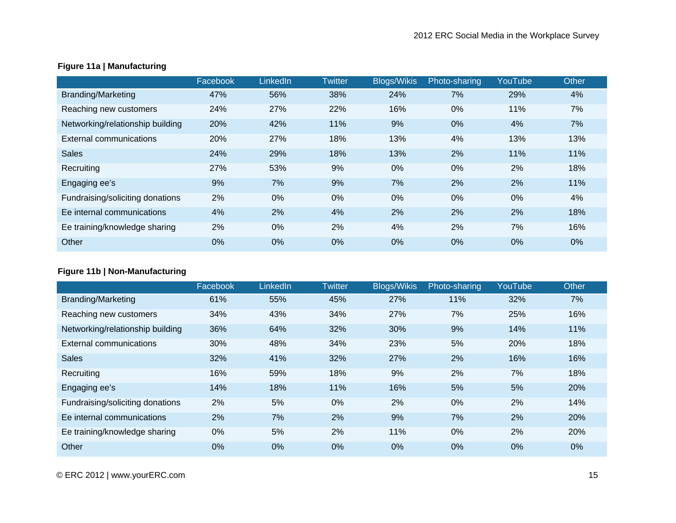|                                  | Facebook | LinkedIn | <b>Twitter</b> | <b>Blogs/Wikis</b> | Photo-sharing | YouTube | Other |
|----------------------------------|----------|----------|----------------|--------------------|---------------|---------|-------|
| <b>Branding/Marketing</b>        | 47%      | 56%      | 38%            | 24%                | 7%            | 29%     | 4%    |
| Reaching new customers           | 24%      | 27%      | 22%            | 16%                | $0\%$         | 11%     | 7%    |
| Networking/relationship building | 20%      | 42%      | 11%            | 9%                 | 0%            | 4%      | 7%    |
| External communications          | 20%      | 27%      | 18%            | 13%                | 4%            | 13%     | 13%   |
| <b>Sales</b>                     | 24%      | 29%      | 18%            | 13%                | 2%            | 11%     | 11%   |
| Recruiting                       | 27%      | 53%      | 9%             | $0\%$              | $0\%$         | 2%      | 18%   |
| Engaging ee's                    | 9%       | 7%       | 9%             | 7%                 | 2%            | 2%      | 11%   |
| Fundraising/soliciting donations | 2%       | $0\%$    | 0%             | $0\%$              | $0\%$         | $0\%$   | 4%    |
| Ee internal communications       | 4%       | 2%       | 4%             | 2%                 | 2%            | 2%      | 18%   |
| Ee training/knowledge sharing    | 2%       | $0\%$    | 2%             | 4%                 | 2%            | 7%      | 16%   |
| Other                            | 0%       | $0\%$    | 0%             | $0\%$              | $0\%$         | 0%      | $0\%$ |

#### **Figure 11a | Manufacturing**

#### **Figure 11b | Non-Manufacturing**

|                                  | Facebook | LinkedIn | <b>Twitter</b> | <b>Blogs/Wikis</b> | Photo-sharing | YouTube | Other |
|----------------------------------|----------|----------|----------------|--------------------|---------------|---------|-------|
| <b>Branding/Marketing</b>        | 61%      | 55%      | 45%            | 27%                | 11%           | 32%     | 7%    |
| Reaching new customers           | 34%      | 43%      | 34%            | 27%                | 7%            | 25%     | 16%   |
| Networking/relationship building | 36%      | 64%      | 32%            | 30%                | 9%            | 14%     | 11%   |
| External communications          | 30%      | 48%      | 34%            | 23%                | 5%            | 20%     | 18%   |
| <b>Sales</b>                     | 32%      | 41%      | 32%            | 27%                | 2%            | 16%     | 16%   |
| Recruiting                       | 16%      | 59%      | 18%            | 9%                 | 2%            | 7%      | 18%   |
| Engaging ee's                    | 14%      | 18%      | 11%            | 16%                | 5%            | 5%      | 20%   |
| Fundraising/soliciting donations | 2%       | 5%       | $0\%$          | 2%                 | $0\%$         | 2%      | 14%   |
| Ee internal communications       | 2%       | 7%       | 2%             | 9%                 | 7%            | 2%      | 20%   |
| Ee training/knowledge sharing    | 0%       | 5%       | 2%             | 11%                | $0\%$         | 2%      | 20%   |
| Other                            | 0%       | $0\%$    | 0%             | $0\%$              | $0\%$         | $0\%$   | $0\%$ |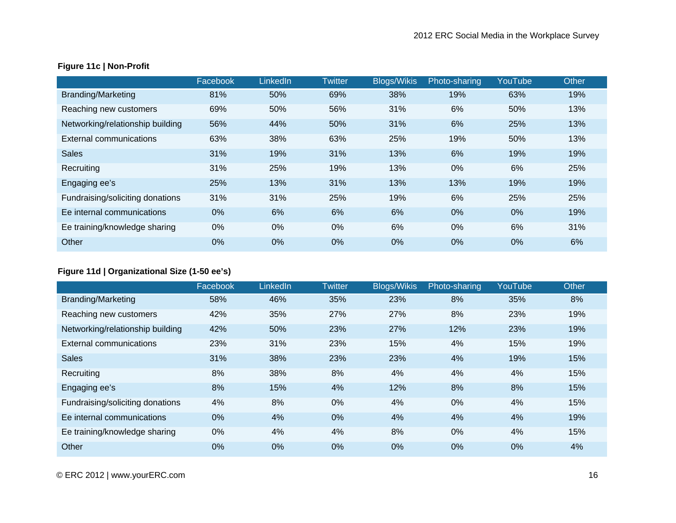|                                  | Facebook | <b>LinkedIn</b> | <b>Twitter</b> | <b>Blogs/Wikis</b> | Photo-sharing | YouTube | Other |
|----------------------------------|----------|-----------------|----------------|--------------------|---------------|---------|-------|
| <b>Branding/Marketing</b>        | 81%      | 50%             | 69%            | 38%                | 19%           | 63%     | 19%   |
| Reaching new customers           | 69%      | 50%             | 56%            | 31%                | 6%            | 50%     | 13%   |
| Networking/relationship building | 56%      | 44%             | 50%            | 31%                | 6%            | 25%     | 13%   |
| External communications          | 63%      | 38%             | 63%            | 25%                | 19%           | 50%     | 13%   |
| <b>Sales</b>                     | 31%      | 19%             | 31%            | 13%                | 6%            | 19%     | 19%   |
| Recruiting                       | 31%      | 25%             | 19%            | 13%                | $0\%$         | 6%      | 25%   |
| Engaging ee's                    | 25%      | 13%             | 31%            | 13%                | 13%           | 19%     | 19%   |
| Fundraising/soliciting donations | 31%      | 31%             | 25%            | 19%                | 6%            | 25%     | 25%   |
| Ee internal communications       | 0%       | 6%              | 6%             | 6%                 | $0\%$         | $0\%$   | 19%   |
| Ee training/knowledge sharing    | 0%       | 0%              | $0\%$          | 6%                 | $0\%$         | 6%      | 31%   |
| Other                            | 0%       | 0%              | 0%             | $0\%$              | $0\%$         | 0%      | 6%    |

#### **Figure 11c | Non-Profit**

#### **Figure 11d | Organizational Size (1-50 ee's)**

|                                  | Facebook | LinkedIn | Twitter | <b>Blogs/Wikis</b> | Photo-sharing | YouTube | Other |
|----------------------------------|----------|----------|---------|--------------------|---------------|---------|-------|
| <b>Branding/Marketing</b>        | 58%      | 46%      | 35%     | 23%                | 8%            | 35%     | 8%    |
| Reaching new customers           | 42%      | 35%      | 27%     | 27%                | 8%            | 23%     | 19%   |
| Networking/relationship building | 42%      | 50%      | 23%     | 27%                | 12%           | 23%     | 19%   |
| External communications          | 23%      | 31%      | 23%     | 15%                | 4%            | 15%     | 19%   |
| <b>Sales</b>                     | 31%      | 38%      | 23%     | 23%                | 4%            | 19%     | 15%   |
| Recruiting                       | 8%       | 38%      | 8%      | 4%                 | 4%            | 4%      | 15%   |
| Engaging ee's                    | 8%       | 15%      | 4%      | 12%                | 8%            | 8%      | 15%   |
| Fundraising/soliciting donations | 4%       | 8%       | 0%      | 4%                 | $0\%$         | 4%      | 15%   |
| Ee internal communications       | 0%       | 4%       | 0%      | 4%                 | 4%            | 4%      | 19%   |
| Ee training/knowledge sharing    | 0%       | 4%       | 4%      | 8%                 | $0\%$         | 4%      | 15%   |
| Other                            | 0%       | $0\%$    | 0%      | 0%                 | $0\%$         | 0%      | 4%    |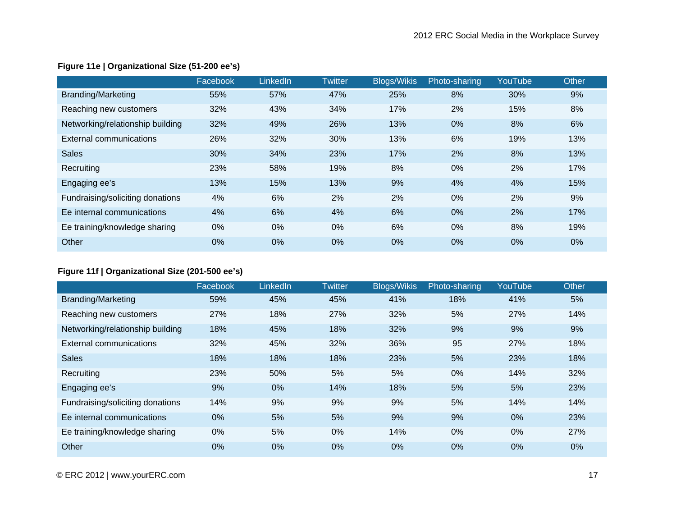|                                  | Facebook | LinkedIn | <b>Twitter</b> | <b>Blogs/Wikis</b> | Photo-sharing | YouTube | Other |
|----------------------------------|----------|----------|----------------|--------------------|---------------|---------|-------|
| <b>Branding/Marketing</b>        | 55%      | 57%      | 47%            | 25%                | 8%            | 30%     | 9%    |
| Reaching new customers           | 32%      | 43%      | 34%            | 17%                | 2%            | 15%     | 8%    |
| Networking/relationship building | 32%      | 49%      | 26%            | 13%                | 0%            | 8%      | 6%    |
| External communications          | 26%      | 32%      | 30%            | 13%                | 6%            | 19%     | 13%   |
| <b>Sales</b>                     | 30%      | 34%      | 23%            | 17%                | 2%            | 8%      | 13%   |
| Recruiting                       | 23%      | 58%      | 19%            | 8%                 | $0\%$         | 2%      | 17%   |
| Engaging ee's                    | 13%      | 15%      | 13%            | 9%                 | 4%            | 4%      | 15%   |
| Fundraising/soliciting donations | 4%       | 6%       | 2%             | 2%                 | $0\%$         | 2%      | 9%    |
| Ee internal communications       | 4%       | 6%       | 4%             | 6%                 | 0%            | 2%      | 17%   |
| Ee training/knowledge sharing    | 0%       | $0\%$    | $0\%$          | 6%                 | $0\%$         | 8%      | 19%   |
| Other                            | 0%       | $0\%$    | 0%             | 0%                 | 0%            | 0%      | 0%    |

#### **Figure 11e | Organizational Size (51-200 ee's)**

#### **Figure 11f | Organizational Size (201-500 ee's)**

|                                  | Facebook | LinkedIn | <b>Twitter</b> | <b>Blogs/Wikis</b> | Photo-sharing | YouTube | Other |
|----------------------------------|----------|----------|----------------|--------------------|---------------|---------|-------|
| <b>Branding/Marketing</b>        | 59%      | 45%      | 45%            | 41%                | 18%           | 41%     | 5%    |
| Reaching new customers           | 27%      | 18%      | 27%            | 32%                | 5%            | 27%     | 14%   |
| Networking/relationship building | 18%      | 45%      | 18%            | 32%                | 9%            | 9%      | 9%    |
| External communications          | 32%      | 45%      | 32%            | 36%                | 95            | 27%     | 18%   |
| <b>Sales</b>                     | 18%      | 18%      | 18%            | 23%                | 5%            | 23%     | 18%   |
| Recruiting                       | 23%      | 50%      | 5%             | 5%                 | $0\%$         | 14%     | 32%   |
| Engaging ee's                    | 9%       | $0\%$    | 14%            | 18%                | 5%            | 5%      | 23%   |
| Fundraising/soliciting donations | 14%      | 9%       | 9%             | 9%                 | 5%            | 14%     | 14%   |
| Ee internal communications       | 0%       | 5%       | 5%             | 9%                 | 9%            | 0%      | 23%   |
| Ee training/knowledge sharing    | 0%       | 5%       | $0\%$          | 14%                | $0\%$         | $0\%$   | 27%   |
| Other                            | 0%       | $0\%$    | 0%             | $0\%$              | $0\%$         | $0\%$   | $0\%$ |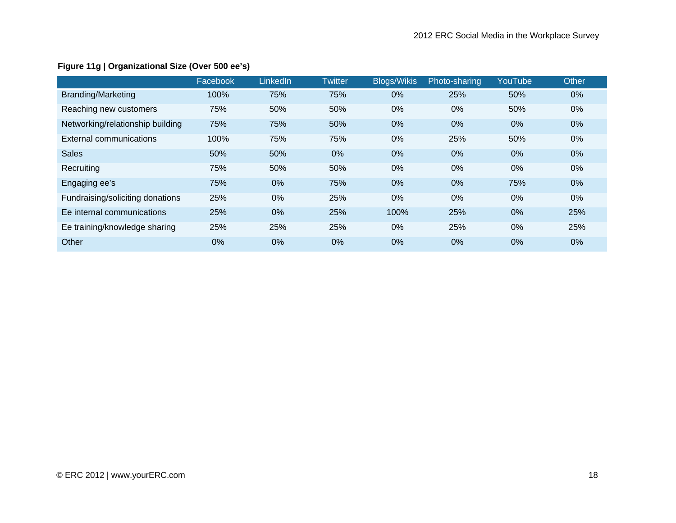|                                  | Facebook | LinkedIn | Twitter | <b>Blogs/Wikis</b> | Photo-sharing | YouTube | Other |
|----------------------------------|----------|----------|---------|--------------------|---------------|---------|-------|
| <b>Branding/Marketing</b>        | 100%     | 75%      | 75%     | 0%                 | 25%           | 50%     | $0\%$ |
| Reaching new customers           | 75%      | 50%      | 50%     | 0%                 | $0\%$         | 50%     | $0\%$ |
| Networking/relationship building | 75%      | 75%      | 50%     | $0\%$              | $0\%$         | 0%      | 0%    |
| External communications          | 100%     | 75%      | 75%     | $0\%$              | 25%           | 50%     | $0\%$ |
| <b>Sales</b>                     | 50%      | 50%      | 0%      | $0\%$              | $0\%$         | $0\%$   | $0\%$ |
| Recruiting                       | 75%      | 50%      | 50%     | $0\%$              | $0\%$         | $0\%$   | $0\%$ |
| Engaging ee's                    | 75%      | $0\%$    | 75%     | $0\%$              | $0\%$         | 75%     | 0%    |
| Fundraising/soliciting donations | 25%      | 0%       | 25%     | 0%                 | $0\%$         | 0%      | $0\%$ |
| Ee internal communications       | 25%      | $0\%$    | 25%     | 100%               | 25%           | 0%      | 25%   |
| Ee training/knowledge sharing    | 25%      | 25%      | 25%     | $0\%$              | 25%           | $0\%$   | 25%   |
| Other                            | 0%       | $0\%$    | 0%      | 0%                 | 0%            | 0%      | 0%    |

#### **Figure 11g | Organizational Size (Over 500 ee's)**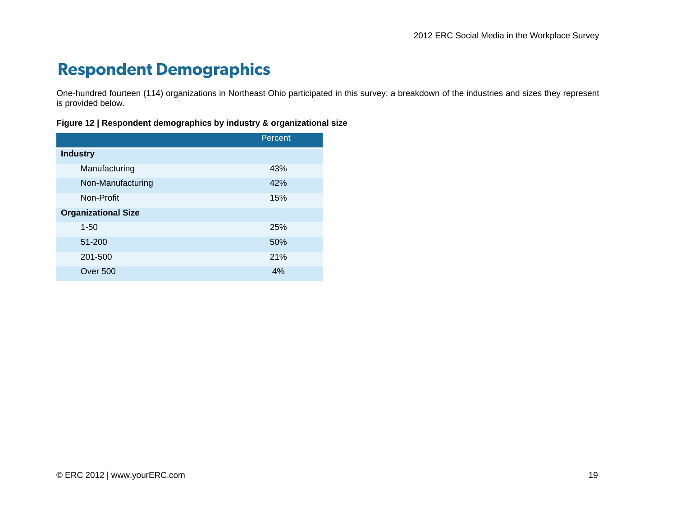## **Respondent Demographics**

One-hundred fourteen (114) organizations in Northeast Ohio participated in this survey; a breakdown of the industries and sizes they represent is provided below.

#### **Figure 12 | Respondent demographics by industry & organizational size**

|                            | Percent |
|----------------------------|---------|
| <b>Industry</b>            |         |
| Manufacturing              | 43%     |
| Non-Manufacturing          | 42%     |
| Non-Profit                 | 15%     |
| <b>Organizational Size</b> |         |
| $1 - 50$                   | 25%     |
| 51-200                     | 50%     |
| 201-500                    | 21%     |
| Over 500                   | 4%      |